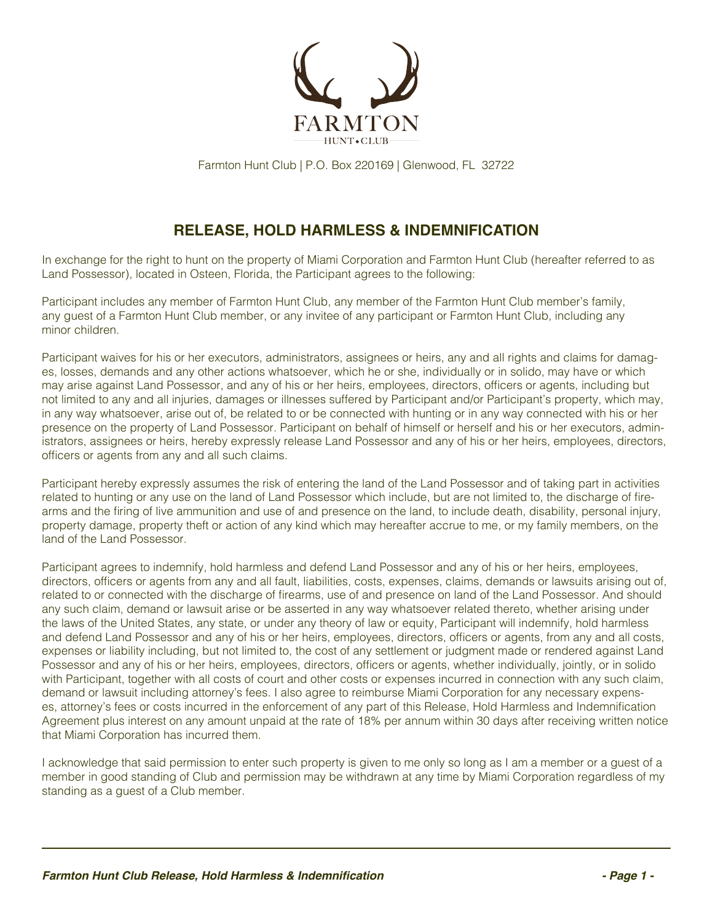

Farmton Hunt Club | P.O. Box 220169 | Glenwood, FL 32722

## **RELEASE, HOLD HARMLESS & INDEMNIFICATION**

In exchange for the right to hunt on the property of Miami Corporation and Farmton Hunt Club (hereafter referred to as Land Possessor), located in Osteen, Florida, the Participant agrees to the following:

Participant includes any member of Farmton Hunt Club, any member of the Farmton Hunt Club member's family, any guest of a Farmton Hunt Club member, or any invitee of any participant or Farmton Hunt Club, including any minor children.

Participant waives for his or her executors, administrators, assignees or heirs, any and all rights and claims for damages, losses, demands and any other actions whatsoever, which he or she, individually or in solido, may have or which may arise against Land Possessor, and any of his or her heirs, employees, directors, officers or agents, including but not limited to any and all injuries, damages or illnesses suffered by Participant and/or Participant's property, which may, in any way whatsoever, arise out of, be related to or be connected with hunting or in any way connected with his or her presence on the property of Land Possessor. Participant on behalf of himself or herself and his or her executors, administrators, assignees or heirs, hereby expressly release Land Possessor and any of his or her heirs, employees, directors, officers or agents from any and all such claims.

Participant hereby expressly assumes the risk of entering the land of the Land Possessor and of taking part in activities related to hunting or any use on the land of Land Possessor which include, but are not limited to, the discharge of firearms and the firing of live ammunition and use of and presence on the land, to include death, disability, personal injury, property damage, property theft or action of any kind which may hereafter accrue to me, or my family members, on the land of the Land Possessor.

Participant agrees to indemnify, hold harmless and defend Land Possessor and any of his or her heirs, employees, directors, officers or agents from any and all fault, liabilities, costs, expenses, claims, demands or lawsuits arising out of, related to or connected with the discharge of firearms, use of and presence on land of the Land Possessor. And should any such claim, demand or lawsuit arise or be asserted in any way whatsoever related thereto, whether arising under the laws of the United States, any state, or under any theory of law or equity, Participant will indemnify, hold harmless and defend Land Possessor and any of his or her heirs, employees, directors, officers or agents, from any and all costs, expenses or liability including, but not limited to, the cost of any settlement or judgment made or rendered against Land Possessor and any of his or her heirs, employees, directors, officers or agents, whether individually, jointly, or in solido with Participant, together with all costs of court and other costs or expenses incurred in connection with any such claim, demand or lawsuit including attorney's fees. I also agree to reimburse Miami Corporation for any necessary expenses, attorney's fees or costs incurred in the enforcement of any part of this Release, Hold Harmless and Indemnification Agreement plus interest on any amount unpaid at the rate of 18% per annum within 30 days after receiving written notice that Miami Corporation has incurred them.

I acknowledge that said permission to enter such property is given to me only so long as I am a member or a guest of a member in good standing of Club and permission may be withdrawn at any time by Miami Corporation regardless of my standing as a guest of a Club member.